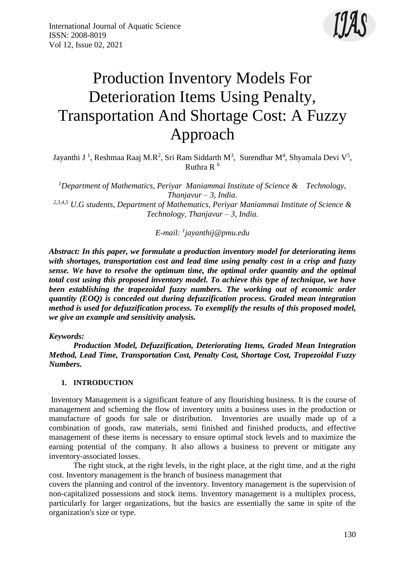

# Production Inventory Models For Deterioration Items Using Penalty, Transportation And Shortage Cost: A Fuzzy Approach

Jayanthi J<sup>1</sup>, Reshmaa Raaj M.R<sup>2</sup>, Sri Ram Siddarth M<sup>3</sup>, Surendhar M<sup>4</sup>, Shyamala Devi V<sup>5</sup>, Ruthra R $<sup>6</sup>$ </sup>

*<sup>1</sup>Department of Mathematics, Periyar Maniammai Institute of Science & Technology, Thanjavur – 3, India. 2,3,4,5 U.G students, Department of Mathematics, Periyar Maniammai Institute of Science & Technology, Thanjavur – 3, India.*

*E-mail: <sup>1</sup> [jayanthij@pmu.edu](mailto:jayanthij@pmu.edu)*

*Abstract: In this paper, we formulate a production inventory model for deteriorating items with shortages, transportation cost and lead time using penalty cost in a crisp and fuzzy sense. We have to resolve the optimum time, the optimal order quantity and the optimal total cost using this proposed inventory model. To achieve this type of technique, we have been establishing the trapezoidal fuzzy numbers. The working out of economic order quantity (EOQ) is conceded out during defuzzification process. Graded mean integration method is used for defuzzification process. To exemplify the results of this proposed model, we give an example and sensitivity analysis.* 

*Keywords:* 

*Production Model, Defuzzification, Deteriorating Items, Graded Mean Integration Method, Lead Time, Transportation Cost, Penalty Cost, Shortage Cost, Trapezoidal Fuzzy Numbers.* 

## **1. INTRODUCTION**

Inventory Management is a significant feature of any flourishing business. It is the course of management and scheming the flow of inventory units a business uses in the production or manufacture of goods for sale or distribution. Inventories are usually made up of a combination of goods, raw materials, semi finished and finished products, and effective management of these items is necessary to ensure optimal stock levels and to maximize the earning potential of the company. It also allows a business to prevent or mitigate any inventory-associated losses.

The right stock, at the right levels, in the right place, at the right time, and at the right cost. Inventory management is the branch of business management that

covers the planning and control of the inventory. Inventory management is the supervision of non-capitalized possessions and stock items. Inventory management is a multiplex process, particularly for larger organizations, but the basics are essentially the same in spite of the organization's size or type.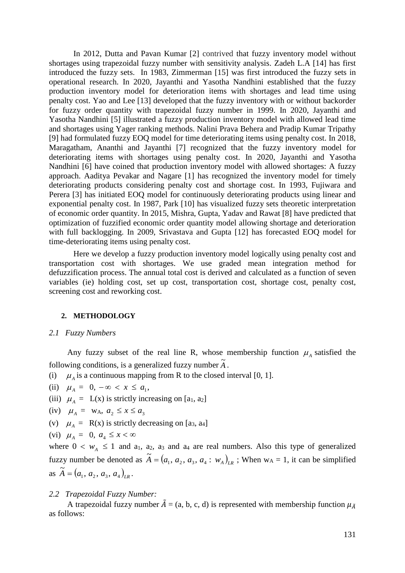In 2012, Dutta and Pavan Kumar [2] contrived that fuzzy inventory model without shortages using trapezoidal fuzzy number with sensitivity analysis. Zadeh L.A [14] has first introduced the fuzzy sets. In 1983, Zimmerman [15] was first introduced the fuzzy sets in operational research. In 2020, Jayanthi and Yasotha Nandhini established that the fuzzy production inventory model for deterioration items with shortages and lead time using penalty cost. Yao and Lee [13] developed that the fuzzy inventory with or without backorder for fuzzy order quantity with trapezoidal fuzzy number in 1999. In 2020, Jayanthi and Yasotha Nandhini [5] illustrated a fuzzy production inventory model with allowed lead time and shortages using Yager ranking methods. Nalini Prava Behera and Pradip Kumar Tripathy [9] had formulated fuzzy EOQ model for time deteriorating items using penalty cost. In 2018, Maragatham, Ananthi and Jayanthi [7] recognized that the fuzzy inventory model for deteriorating items with shortages using penalty cost. In 2020, Jayanthi and Yasotha Nandhini [6] have coined that production inventory model with allowed shortages: A fuzzy approach. Aaditya Pevakar and Nagare [1] has recognized the inventory model for timely deteriorating products considering penalty cost and shortage cost. In 1993, Fujiwara and Perera [3] has initiated EOQ model for continuously deteriorating products using linear and exponential penalty cost. In 1987, Park [10] has visualized fuzzy sets theoretic interpretation of economic order quantity. In 2015, Mishra, Gupta, Yadav and Rawat [8] have predicted that optimization of fuzzified economic order quantity model allowing shortage and deterioration with full backlogging. In 2009, Srivastava and Gupta [12] has forecasted EOQ model for time-deteriorating items using penalty cost.

Here we develop a fuzzy production inventory model logically using penalty cost and transportation cost with shortages. We use graded mean integration method for defuzzification process. The annual total cost is derived and calculated as a function of seven variables (ie) holding cost, set up cost, transportation cost, shortage cost, penalty cost, screening cost and reworking cost.

#### **2. METHODOLOGY**

*2.1 Fuzzy Numbers*

Any fuzzy subset of the real line R, whose membership function  $\mu_A$  satisfied the following conditions, is a generalized fuzzy number  $\tilde{A}$ .

- (i)  $\mu_A$  is a continuous mapping from R to the closed interval [0, 1].
- (ii)  $\mu_A = 0, -\infty < x \le a_1$ ,
- (iii)  $\mu_A = L(x)$  is strictly increasing on [a<sub>1</sub>, a<sub>2</sub>]
- (iv)  $\mu_A = w_A, a_2 \le x \le a_3$
- (v)  $\mu_A = R(x)$  is strictly decreasing on [a<sub>3</sub>, a<sub>4</sub>]

$$
(vi) \ \mu_A = 0, \ a_4 \le x < \infty
$$

where  $0 < w_A \le 1$  and a<sub>1</sub>, a<sub>2</sub>, a<sub>3</sub> and a<sub>4</sub> are real numbers. Also this type of generalized fuzzy number be denoted as  $\widetilde{A} = (a_1, a_2, a_3, a_4 : w_A)_{LR}$ ; When w<sub>A</sub> = 1, it can be simplified as  $\widetilde{A} = (a_1, a_2, a_3, a_4)_{LR}$ .

#### *2.2 Trapezoidal Fuzzy Number:*

A trapezoidal fuzzy number  $\tilde{A} = (a, b, c, d)$  is represented with membership function  $\mu_{\tilde{A}}$ as follows: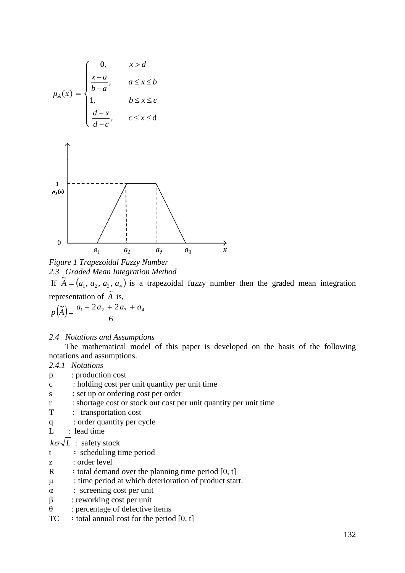



If  $\tilde{A} = (a_1, a_2, a_3, a_4)$  is a trapezoidal fuzzy number then the graded mean integration representation of  $\tilde{A}$  is,

$$
p(\tilde{A}) = \frac{a_1 + 2a_2 + 2a_3 + a_4}{6}
$$

#### *2.4 Notations and Assumptions*

The mathematical model of this paper is developed on the basis of the following notations and assumptions.

## *2.4.1 Notations*

- p : production cost
- c : holding cost per unit quantity per unit time
- s : set up or ordering cost per order
- r : shortage cost or stock out cost per unit quantity per unit time
- T : transportation cost
- q : order quantity per cycle
- L : lead time

 $k\sigma\sqrt{L}$  : safety stock

- t ∶ scheduling time period
- z : order level
- R  $:$  total demand over the planning time period [0, t]
- μ : time period at which deterioration of product start.
- α : screening cost per unit
- $β$  : reworking cost per unit
- $\theta$  : percentage of defective items
- $TC$  : total annual cost for the period [0, t]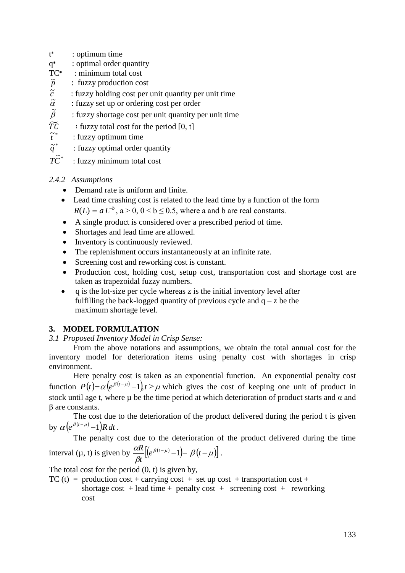- t ∗ : optimum time
- q ∗ : optimal order quantity
- $TC*$ : minimum total cost
- *p* ~ : fuzzy production cost
- *c* ~ : fuzzy holding cost per unit quantity per unit time
- $\tilde{\alpha}$ : fuzzy set up or ordering cost per order
- $\tilde{\beta}$ : fuzzy shortage cost per unit quantity per unit time
- $\widetilde{TC}$  : fuzzy total cost for the period [0, t]
- $\tilde{t}^*$ *t* : fuzzy optimum time
- $\tilde{q}^*$ *q* : fuzzy optimal order quantity
- $T\widetilde{C}^*$ t fuzzy minimum total cost

# *2.4.2 Assumptions*

- Demand rate is uniform and finite.
- Lead time crashing cost is related to the lead time by a function of the form  $R(L) = a L^{-b}$ ,  $a > 0$ ,  $0 < b \le 0.5$ , where a and b are real constants.
- A single product is considered over a prescribed period of time.
- Shortages and lead time are allowed.
- Inventory is continuously reviewed.
- The replenishment occurs instantaneously at an infinite rate.
- Screening cost and reworking cost is constant.
- Production cost, holding cost, setup cost, transportation cost and shortage cost are taken as trapezoidal fuzzy numbers.
- $\bullet$  q is the lot-size per cycle whereas z is the initial inventory level after fulfilling the back-logged quantity of previous cycle and  $q - z$  be the maximum shortage level.

# **3. MODEL FORMULATION**

*3.1 Proposed Inventory Model in Crisp Sense:*

From the above notations and assumptions, we obtain the total annual cost for the inventory model for deterioration items using penalty cost with shortages in crisp environment.

Here penalty cost is taken as an exponential function. An exponential penalty cost function  $P(t) = \alpha (e^{\beta(t-\mu)}-1)$ ,  $t \ge \mu$  which gives the cost of keeping one unit of product in stock until age t, where  $\mu$  be the time period at which deterioration of product starts and  $\alpha$  and β are constants.

The cost due to the deterioration of the product delivered during the period t is given by  $\alpha \left( e^{\beta(t-\mu)} - 1 \right) R dt$ .

The penalty cost due to the deterioration of the product delivered during the time

interval 
$$
(\mu, t)
$$
 is given by  $\frac{\alpha R}{\beta t} \left[ \left( e^{\beta(t-\mu)} - 1 \right) - \beta(t-\mu) \right]$ .

The total cost for the period  $(0, t)$  is given by,

TC (t) = production cost + carrying cost + set up cost + transportation cost + shortage cost + lead time + penalty cost + screening cost + reworking cost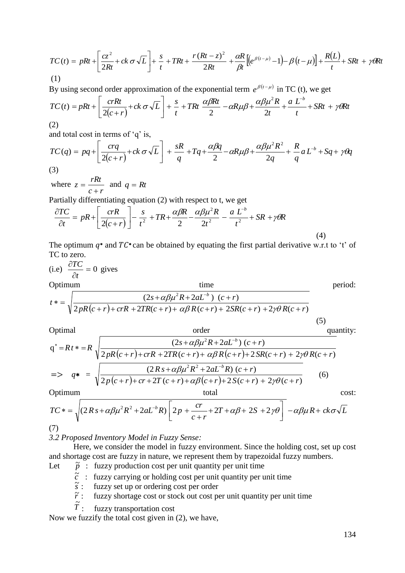$$
TC(t) = pRt + \left[\frac{cz^2}{2Rt} + ck\,\sigma\sqrt{L}\right] + \frac{s}{t} + TRt + \frac{r(Rt - z)^2}{2Rt} + \frac{\alpha R}{\beta t}\left[\left(e^{\beta(t - \mu)} - 1\right) - \beta\left(t - \mu\right)\right] + \frac{R(L)}{t} + SRt + \gamma\theta Rt
$$
\n(1)

By using second order approximation of the exponential term  $e^{\beta(t-\mu)}$  in TC (t), we get

$$
TC(t) = pRt + \left[\frac{crRt}{2(c+r)} + ck\,\sigma\sqrt{L}\right] + \frac{s}{t} + TRt\,\frac{\alpha\beta Rt}{2} - \alpha R\mu\beta + \frac{\alpha\beta\mu^2R}{2t} + \frac{a L^b}{t} + SRt + \gamma\theta Rt
$$

(2) and total cost in terms of ' $a$ ' is

and total cost in terms of q is,  
\n
$$
TC(q) = pq + \left[ \frac{cq}{2(c+r)} + ck \sigma \sqrt{L} \right] + \frac{sR}{q} + Tq + \frac{\alpha \beta q}{2} - \alpha R \mu \beta + \frac{\alpha \beta \mu^2 R^2}{2q} + \frac{R}{q} a L^{-b} + Sq + \gamma \theta
$$

$$
(3)
$$

where *c r*  $z = \frac{rRt}{\sqrt{r}}$  $\overline{+}$  $=\frac{r\pi}{2}$  and  $q = Rt$ 

Partially differentiating equation (2) with respect to t, we get

$$
\frac{\partial TC}{\partial t} = pR + \left[ \frac{crR}{2(c+r)} \right] - \frac{s}{t^2} + TR + \frac{\alpha \beta R}{2} - \frac{\alpha \beta \mu^2 R}{2t^2} - \frac{a L^{-b}}{t^2} + SR + \gamma \theta R \tag{4}
$$

The optimum  $q^*$  and  $TC^*$  can be obtained by equating the first partial derivative w.r.t to 't' of TC to zero.

(i.e) 
$$
\frac{\partial TC}{\partial t} = 0
$$
 gives  
\nOptimum\n
$$
t^* = \sqrt{\frac{(2s + \alpha\beta\mu^2 R + 2aL^{-b}) (c+r)}{2pR(c+r) + crR + 2TR(c+r) + \alpha\beta R(c+r) + 2SR(c+r) + 2\gamma\theta R(c+r)}}
$$
period:

Optimal order quantity:

Optimal  
\n
$$
q^* = Rt^* = R \sqrt{\frac{(2s + \alpha\beta\mu^2 R + 2aL^{-b})(c+r)}{2pR(c+r) + crR + 2TR(c+r) + \alpha\beta R(c+r) + 2SR(c+r) + 2\gamma\theta R(c+r)}}
$$
\n
$$
= \sqrt{q^* = \sqrt{\frac{(2Rs + \alpha\beta\mu^2 R^2 + 2aL^{-b}R)(c+r)}{2p(c+r) + cr + 2T(c+r) + \alpha\beta(c+r) + 2S(c+r) + 2\gamma\theta(c+r)}}
$$
\nOptimum

\ntotal

\ncost:

\ncost:

(5)

$$
TC* = \sqrt{(2Rs + \alpha\beta\mu^2R^2 + 2aL^bR)\left[2p + \frac{cr}{c+r} + 2T + \alpha\beta + 2S + 2\gamma\theta\right]} - \alpha\beta\mu R + ck\sigma\sqrt{L}
$$

 $(7)$ 

# *3.2 Proposed Inventory Model in Fuzzy Sense:*

Here, we consider the model in fuzzy environment. Since the holding cost, set up cost and shortage cost are fuzzy in nature, we represent them by trapezoidal fuzzy numbers.

- Let  $\tilde{p}$  : fuzzy production cost per unit quantity per unit time
- $\tilde{c}$  : fuzzy carrying or holding cost per unit quantity per unit time
	- *s*  $\frac{3}{x}$  : fuzzy set up or ordering cost per order
	- $\tilde{r}$ : fuzzy shortage cost or stock out cost per unit quantity per unit time
	- $\tilde{\tilde{T}}$ : fuzzy transportation cost

Now we fuzzify the total cost given in (2), we have,

 $a L^{-b} + Sq + \gamma \theta q$ 

*q R*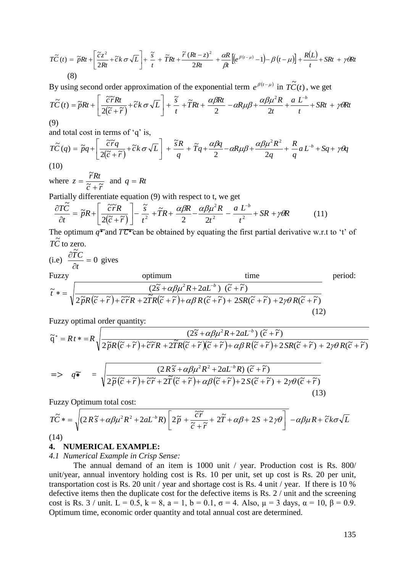$$
T\widetilde{C}(t) = \widetilde{p}Rt + \left[\frac{\widetilde{c}z^{2}}{2Rt} + \widetilde{c}k \sigma\sqrt{L}\right] + \frac{\widetilde{s}}{t} + \widetilde{T}Rt + \frac{\widetilde{r}(Rt - z)^{2}}{2Rt} + \frac{\alpha R}{\beta t}\left[\left(e^{\beta(t - \mu)} - 1\right) - \beta\left(t - \mu\right)\right] + \frac{R(L)}{t} + SRt + \gamma\theta Rt
$$
\n(8)

By using second order approximation of the exponential term  $e^{\beta(t-\mu)}$  in  $T\tilde{C}(t)$ , we get

$$
T\widetilde{C}(t) = \widetilde{p}Rt + \left[\frac{\widetilde{c}\widetilde{r}Rt}{2(\widetilde{c}+\widetilde{r})} + \widetilde{c}k\,\sigma\sqrt{L}\right] + \frac{\widetilde{s}}{t} + \widetilde{T}Rt + \frac{\alpha\beta Rt}{2} - \alpha R\mu\beta + \frac{\alpha\beta\mu^2R}{2t} + \frac{aL^{-b}}{t} + SRt + \gamma\theta Rt
$$

(9)

and total cost in terms of 'q' is,

$$
T\tilde{C}(q) = \tilde{p}q + \left[\frac{\tilde{c}\tilde{r}q}{2(\tilde{c} + \tilde{r})} + \tilde{c}k\,\sigma\sqrt{L}\right] + \frac{\tilde{s}R}{q} + \tilde{T}q + \frac{\alpha\beta q}{2} - \alpha R\mu\beta + \frac{\alpha\beta\mu^2 R^2}{2q} + \frac{R}{q}aL^{-b} + Sq + \gamma\theta q
$$
\n(10)

(10)

where 
$$
z = \frac{\widetilde{r}Rt}{\widetilde{c} + \widetilde{r}}
$$
 and  $q = Rt$ 

Partially differentiate equation (9) with respect to t, we get

$$
\frac{\partial T\tilde{C}}{\partial t} = \tilde{p}R + \left[\frac{\tilde{c}\tilde{r}R}{2(\tilde{c}+\tilde{r})}\right] - \frac{\tilde{s}}{t^2} + \tilde{T}R + \frac{\alpha\beta R}{2} - \frac{\alpha\beta\mu^2 R}{2t^2} - \frac{a L^b}{t^2} + SR + \gamma\theta R \tag{11}
$$

The optimum  $q^*$  and  $T\overline{C^*}$  can be obtained by equating the first partial derivative w.r.t to 't' of  $T\tilde{C}$  to zero.

(i.e) 
$$
\frac{\partial \widetilde{T}C}{\partial t} = 0
$$
 gives  
\nFuzzy optimum time  
\n
$$
\widetilde{t}^* = \sqrt{\frac{(2\widetilde{s} + \alpha\beta\mu^2 R + 2aL^{-b}) (\widetilde{c} + \widetilde{r})}{2\widetilde{p}R(\widetilde{c} + \widetilde{r}) + \widetilde{c}\widetilde{r}R + 2\widetilde{T}R(\widetilde{c} + \widetilde{r}) + \alpha\beta R(\widetilde{c} + \widetilde{r}) + 2SR(\widetilde{c} + \widetilde{r}) + 2\gamma\theta R(\widetilde{c} + \widetilde{r})}
$$
\n(12)

Fuzzy optimal order quantity:

$$
\overrightarrow{TC}(t) = \overrightarrow{p}Rt + \left[\frac{t\overrightarrow{z}}{2R} + \overrightarrow{z}R\sigma\sqrt{L}\right] + \frac{s}{t} + \overrightarrow{r}Rt + \frac{r(Rt - z)}{2R} + \frac{aR}{R}\left[e^{\beta(t-\mu)} - 1\right] - \beta(t-\mu)\right] + \frac{N(t-j)}{2R} + \gamma Rt
$$
\n(8)\nBy using second order approximation of the exponential term  $e^{\beta(t-\mu)}$  in  $\overrightarrow{TC}(t)$ , we get\n
$$
\overrightarrow{TC}(t) = \overrightarrow{p}Rt + \left[\frac{2\overrightarrow{r}R}{2(\overrightarrow{r}+\overrightarrow{r})} + \overrightarrow{c}R\sigma\sqrt{L}\right] + \frac{\overrightarrow{r}}{t} + \overrightarrow{T}Rt + \frac{\alpha\beta Rt}{2} - \alpha R\mu\beta + \frac{\alpha\beta\mu^2 R}{2t} + \frac{a L^*}{t} + SRt + \gamma Rt
$$
\n(9)\nand total cost in terms of 'q' is,\n
$$
\overrightarrow{TC}(q) = \overrightarrow{p}q + \left[\frac{\overrightarrow{c}\overrightarrow{r}q}{2(\overrightarrow{r}+\overrightarrow{r})} + \overrightarrow{c}R\sigma\sqrt{L}\right] + \frac{\overrightarrow{s}R}{q} + \overrightarrow{T}q + \frac{\alpha\beta q}{2} - \alpha R\mu\beta + \frac{\alpha\beta\mu^2 R^2}{2q} + \frac{R}{q}aL^* + Sq + \gamma Rt
$$
\n(10)\nwhere  $z = \frac{\overrightarrow{r}Rt}{\overrightarrow{c} + \overrightarrow{r}}$  and  $q = Rt$ \n\nPartially differentiate equation (9) with respect to t, we get\n
$$
\frac{\partial \overrightarrow{C}}{\partial \overrightarrow{c}} = \overrightarrow{p}R + \left[\frac{\overrightarrow{c}\overrightarrow{r}R}{2(\overrightarrow{r}+\overrightarrow{r})}\right] - \frac{\overrightarrow{s}R}{t^2} + \overrightarrow{r}R + \frac{\alpha\beta q}{2} - \frac{\alpha\mu}{2t^2} - \frac{a L^*}{t^2} + SR + \gamma \theta R \tag{11}\n\tag{12}\n
$$
\overrightarrow{r} = \overrightarrow{r}R + \left[\frac{\overrightarrow{c}\overrightarrow{r}R}{2(\overrightarrow{r}+\overrightarrow{r})} + \frac{\overrightarrow{r}R
$$
$$

Fuzzy Optimum total cost:

$$
T\tilde{C}^* = \sqrt{(2R\tilde{s} + \alpha\beta\mu^2R^2 + 2aL^{-b}R)\left[2\tilde{p} + \frac{\tilde{c}\tilde{r}}{\tilde{c} + \tilde{r}} + 2\tilde{T} + \alpha\beta + 2S + 2\gamma\theta\right]} - \alpha\beta\mu R + \tilde{c}k\sigma\sqrt{L}
$$

(14)

#### **4. NUMERICAL EXAMPLE:**

*4.1 Numerical Example in Crisp Sense:* 

The annual demand of an item is 1000 unit / year. Production cost is Rs. 800/ unit/year, annual inventory holding cost is Rs. 10 per unit, set up cost is Rs. 20 per unit, transportation cost is Rs. 20 unit / year and shortage cost is Rs. 4 unit / year. If there is 10 % defective items then the duplicate cost for the defective items is Rs. 2 / unit and the screening cost is Rs.  $3$  / unit. L = 0.5, k = 8, a = 1, b = 0.1,  $\sigma$  = 4. Also,  $\mu$  = 3 days,  $\alpha$  = 10,  $\beta$  = 0.9. Optimum time, economic order quantity and total annual cost are determined.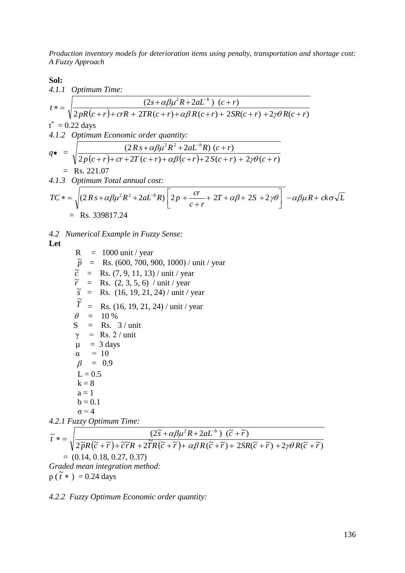*Production inventory models for deterioration items using penalty, transportation and shortage cost: A Fuzzy Approach* 

**Sol:**

**501:**  
\n4.1.1 *Optimum Time:*  
\n
$$
t^* = \sqrt{\frac{(2s + \alpha \beta \mu^2 R + 2aL^{-b}) (c + r)}{2pR(c + r) + crR + 2TR(c + r) + \alpha \beta R(c + r) + 2SR(c + r) + 2\gamma \theta R(c + r)}}
$$
  
\n $t^* = 0.22$  days  
\n4.1.2 *Optimum Economic order quantity:*  
\n $q^* = \sqrt{\frac{(2Rs + \alpha \beta \mu^2 R^2 + 2aL^{-b}R) (c + r)}{2p(c + r) + cr + 2T(c + r) + \alpha \beta (c + r) + 2S(c + r) + 2\gamma \theta (c + r)}}$   
\n $= \text{Rs. } 221.07$   
\n4.1.3 *Optimum Total annual cost:*  
\n $TC^* = \sqrt{(2Rs + \alpha \beta \mu^2 R^2 + 2aL^{-b}R) [2p + \frac{cr}{c + r} + 2T + \alpha \beta + 2S + 2\gamma \theta] - \alpha \beta \mu R + ck\sigma \sqrt{L}}$   
\n $= \text{Rs. } 339817.24$ 

*4.2 Numerical Example in Fuzzy Sense:*

**Let**

 $R = 1000$  unit / year  $\tilde{p}$  = Rs. (600, 700, 900, 1000) / unit / year  $\vec{c}$  = Rs. (7, 9, 11, 13) / unit / year  $\tilde{r}$  = Rs. (2, 3, 5, 6) / unit / year  $\tilde{s}$  = Rs. (16, 19, 21, 24) / unit / year  $\tilde{T}$  $=$  Rs. (16, 19, 21, 24) / unit / year  $\theta = 10 \%$  $S = Rs. 3 / unit$  $\gamma$  = Rs. 2 / unit  $\mu = 3$  days  $\alpha = 10$  $\beta = 0.9$  $L = 0.5$  $k = 8$  $a = 1$  $b = 0.1$  $\sigma = 4$ *4.2.1 Fuzzy Optimum Time:*  $\frac{1}{2\widetilde{p}R(\widetilde{c}+\widetilde{r})+\widetilde{c}\widetilde{r}R+2\widetilde{I}R(\widetilde{c}+\widetilde{r})+\alpha\beta R(\widetilde{c}+\widetilde{r})+2SR(\widetilde{c}+\widetilde{r})+2\gamma\theta R(\widetilde{c}+\widetilde{r})}$  $\widetilde{z}$  +  $\alpha \beta \mu^2 R + 2aL^{-b}$  )  $(\widetilde{c} + \widetilde{r})$  $\widetilde{p}R(\widetilde{c} + \widetilde{r}) + \widetilde{c}\,\widetilde{r}R + 2\widetilde{I}R(\widetilde{c} + \widetilde{r}) + \alpha\beta\,R(\widetilde{c} + \widetilde{r}) + 2SR(\widetilde{c} + \widetilde{r}) + 2\gamma\theta\,R(\widetilde{c} + \widetilde{r})$  $\widetilde{t}$  **a** =  $\int \frac{(2\widetilde{s} + \alpha\beta\mu^2R + 2aL^{-b})(\widetilde{c} + \widetilde{r})}{\widetilde{c} + \widetilde{c} + \widetilde{c} + \widetilde{c} + \widetilde{c} + \widetilde{c} + \widetilde{c}}$ *b*  $(\tilde{\epsilon}+\tilde{r})+\tilde{c}\tilde{r}R+2\tilde{T}R(\tilde{c}+\tilde{r})+\alpha\beta R(\tilde{c}+\tilde{r})+2SR(\tilde{c}+\tilde{r})+2\gamma\theta R(\tilde{c}+\tilde{r})$  $* = \sqrt{\frac{(2\tilde{s} + \alpha\beta\mu^2R + 2aL^{-b}) (\tilde{c} + \alpha\beta\mu)^2R + 2aL^{-b} (\tilde{s} + \alpha\beta\mu)^2R^{-b} \tilde{c} + \alpha^2\beta^2R^{-b} \tilde{c}^2}}$  $\overline{a}$  $rac{R+2aL^{-b}}{\alpha\beta R(\tilde{c}+\tilde{r})+\frac{2SR(\tilde{c}+\tilde{r})+2\gamma\theta}{R}}$  $\alpha\beta\mu$  $= (0.14, 0.18, 0.27, 0.37)$ *Graded mean integration method:*

 $p(\tilde{t}^*) = 0.24$  days

*4.2.2 Fuzzy Optimum Economic order quantity:*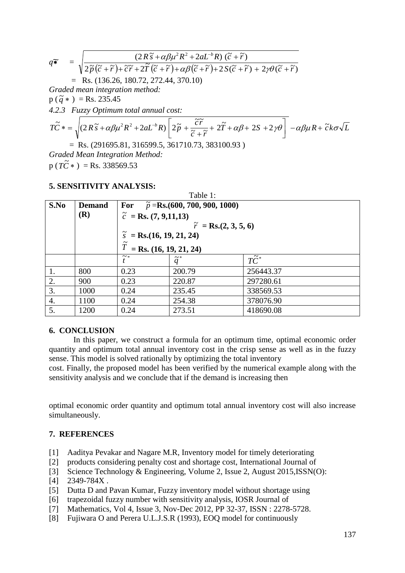$$
q\widetilde{\ast} = \sqrt{\frac{(2R\widetilde{s} + \alpha\beta\mu^2R^2 + 2aL^{-b}R)(\widetilde{c} + \widetilde{r})}{2\widetilde{p}(\widetilde{c} + \widetilde{r}) + \widetilde{c}\widetilde{r} + 2\widetilde{T}(\widetilde{c} + \widetilde{r}) + \alpha\beta(\widetilde{c} + \widetilde{r}) + 2S(\widetilde{c} + \widetilde{r}) + 2\gamma\theta(\widetilde{c} + \widetilde{r})}}
$$
\n= Rs. (136.26, 180.72, 272.44, 370.10)  
\nGraded mean integration method:  
\np (\widetilde{q} \* ) = Rs. 235.45  
\n4.2.3 Fuzzy Optimum total annual cost:  
\n
$$
T\widetilde{C} * = \sqrt{(2R\widetilde{s} + \alpha\beta\mu^2R^2 + 2aL^{-b}R)\left[2\widetilde{p} + \frac{\widetilde{c}\widetilde{r}}{\widetilde{c} + \widetilde{r}} + 2\widetilde{T} + \alpha\beta + 2S + 2\gamma\theta\right]} - \alpha\beta\mu R + \widetilde{c}k\sigma\sqrt{L}
$$
\n= Rs. (291695.81, 316599.5, 361710.73, 383100.93)  
\nGraded Mean Integration Method:  
\n( $\widetilde{T}$  $\widetilde{S}$ ) = R. 232569.52

 $p(T\tilde{C}^*) = \text{Rs. } 338569.53$ 

## **5. SENSITIVITY ANALYSIS:**

| Table 1: |               |                                              |                   |                    |
|----------|---------------|----------------------------------------------|-------------------|--------------------|
| S.No     | <b>Demand</b> | For<br>$\tilde{p}$ =Rs.(600, 700, 900, 1000) |                   |                    |
|          | (R)           | $\tilde{c}$ = Rs. (7, 9,11,13)               |                   |                    |
|          |               | $\tilde{r}$ = Rs.(2, 3, 5, 6)                |                   |                    |
|          |               | $\tilde{s}$ = Rs.(16, 19, 21, 24)            |                   |                    |
|          |               | $\tilde{T}$<br>$=$ Rs. (16, 19, 21, 24)      |                   |                    |
|          |               | $\sim$ $*$                                   | $\widetilde{q}^*$ | $T\widetilde{C}^*$ |
| 1.       | 800           | 0.23                                         | 200.79            | 256443.37          |
| 2.       | 900           | 0.23                                         | 220.87            | 297280.61          |
| 3.       | 1000          | 0.24                                         | 235.45            | 338569.53          |
| 4.       | 1100          | 0.24                                         | 254.38            | 378076.90          |
| 5.       | 1200          | 0.24                                         | 273.51            | 418690.08          |

Table 1:

## **6. CONCLUSION**

In this paper, we construct a formula for an optimum time, optimal economic order quantity and optimum total annual inventory cost in the crisp sense as well as in the fuzzy sense. This model is solved rationally by optimizing the total inventory

cost. Finally, the proposed model has been verified by the numerical example along with the sensitivity analysis and we conclude that if the demand is increasing then

optimal economic order quantity and optimum total annual inventory cost will also increase simultaneously.

## **7. REFERENCES**

- [1] Aaditya Pevakar and Nagare M.R, Inventory model for timely deteriorating
- [2] products considering penalty cost and shortage cost, International Journal of
- [3] Science Technology & Engineering, Volume 2, Issue 2, August 2015,ISSN(O):
- [4] 2349-784X.
- [5] Dutta D and Pavan Kumar, Fuzzy inventory model without shortage using
- [6] trapezoidal fuzzy number with sensitivity analysis, IOSR Journal of
- [7] Mathematics, Vol 4, Issue 3, Nov-Dec 2012, PP 32-37, ISSN : 2278-5728.
- [8] Fujiwara O and Perera U.L.J.S.R (1993), EOQ model for continuously